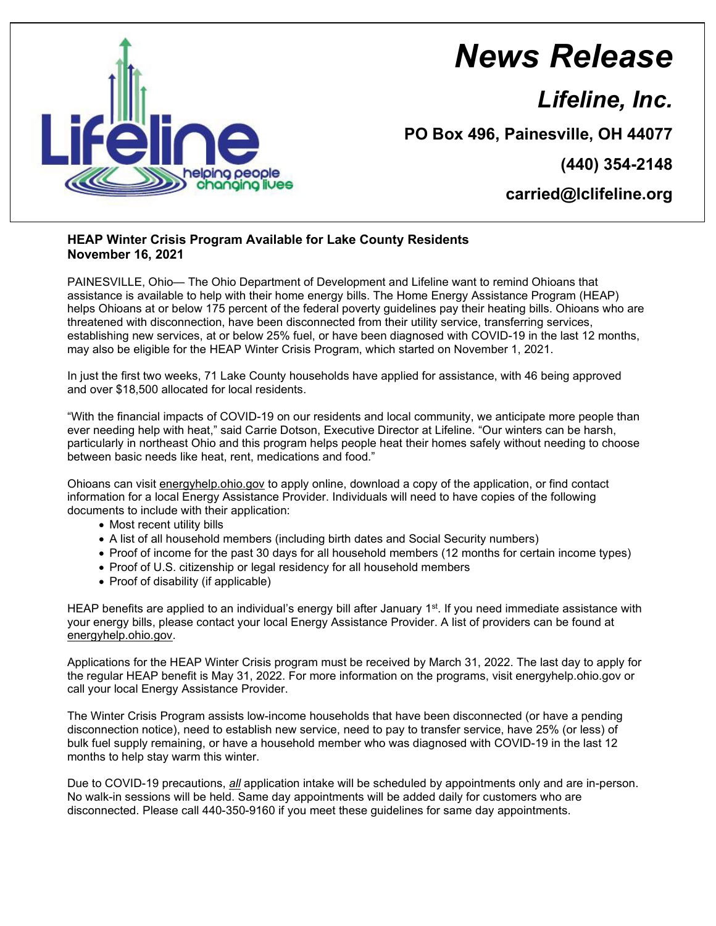

## *News Release*

*Lifeline, Inc.*

**PO Box 496, Painesville, OH 44077**

**(440) 354-2148**

**carried@lclifeline.org**

## **HEAP Winter Crisis Program Available for Lake County Residents November 16, 2021**

PAINESVILLE, Ohio— The Ohio Department of Development and Lifeline want to remind Ohioans that assistance is available to help with their home energy bills. The Home Energy Assistance Program (HEAP) helps Ohioans at or below 175 percent of the federal poverty guidelines pay their heating bills. Ohioans who are threatened with disconnection, have been disconnected from their utility service, transferring services, establishing new services, at or below 25% fuel, or have been diagnosed with COVID-19 in the last 12 months, may also be eligible for the HEAP Winter Crisis Program, which started on November 1, 2021.

In just the first two weeks, 71 Lake County households have applied for assistance, with 46 being approved and over \$18,500 allocated for local residents.

"With the financial impacts of COVID-19 on our residents and local community, we anticipate more people than ever needing help with heat," said Carrie Dotson, Executive Director at Lifeline. "Our winters can be harsh, particularly in northeast Ohio and this program helps people heat their homes safely without needing to choose between basic needs like heat, rent, medications and food."

Ohioans can visit energyhelp.ohio.gov to apply online, download a copy of the application, or find contact information for a local Energy Assistance Provider. Individuals will need to have copies of the following documents to include with their application:

- Most recent utility bills
- A list of all household members (including birth dates and Social Security numbers)
- Proof of income for the past 30 days for all household members (12 months for certain income types)
- Proof of U.S. citizenship or legal residency for all household members
- Proof of disability (if applicable)

HEAP benefits are applied to an individual's energy bill after January 1<sup>st</sup>. If you need immediate assistance with your energy bills, please contact your local Energy Assistance Provider. A list of providers can be found at energyhelp.ohio.gov.

Applications for the HEAP Winter Crisis program must be received by March 31, 2022. The last day to apply for the regular HEAP benefit is May 31, 2022. For more information on the programs, visit energyhelp.ohio.gov or call your local Energy Assistance Provider.

The Winter Crisis Program assists low-income households that have been disconnected (or have a pending disconnection notice), need to establish new service, need to pay to transfer service, have 25% (or less) of bulk fuel supply remaining, or have a household member who was diagnosed with COVID-19 in the last 12 months to help stay warm this winter.

Due to COVID-19 precautions, *all* application intake will be scheduled by appointments only and are in-person. No walk-in sessions will be held. Same day appointments will be added daily for customers who are disconnected. Please call 440-350-9160 if you meet these guidelines for same day appointments.